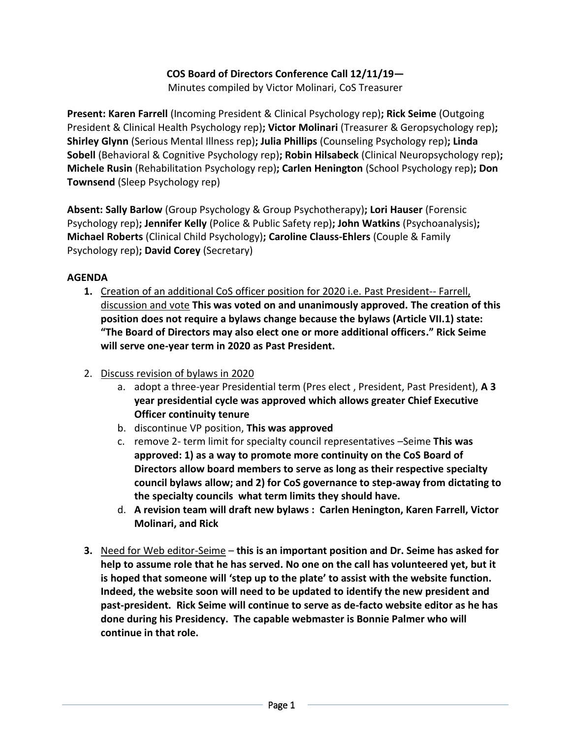## **COS Board of Directors Conference Call 12/11/19—**

Minutes compiled by Victor Molinari, CoS Treasurer

**Present: Karen Farrell** (Incoming President & Clinical Psychology rep)**; Rick Seime** (Outgoing President & Clinical Health Psychology rep)**; Victor Molinari** (Treasurer & Geropsychology rep)**; Shirley Glynn** (Serious Mental Illness rep)**; Julia Phillips** (Counseling Psychology rep)**; Linda Sobell** (Behavioral & Cognitive Psychology rep)**; Robin Hilsabeck** (Clinical Neuropsychology rep)**; Michele Rusin** (Rehabilitation Psychology rep)**; Carlen Henington** (School Psychology rep)**; Don Townsend** (Sleep Psychology rep)

**Absent: Sally Barlow** (Group Psychology & Group Psychotherapy)**; Lori Hauser** (Forensic Psychology rep)**; Jennifer Kelly** (Police & Public Safety rep)**; John Watkins** (Psychoanalysis)**; Michael Roberts** (Clinical Child Psychology)**; Caroline Clauss-Ehlers** (Couple & Family Psychology rep)**; David Corey** (Secretary)

## **AGENDA**

- **1.** Creation of an additional CoS officer position for 2020 i.e. Past President-- Farrell, discussion and vote **This was voted on and unanimously approved. The creation of this position does not require a bylaws change because the bylaws (Article VII.1) state: "The Board of Directors may also elect one or more additional officers." Rick Seime will serve one-year term in 2020 as Past President.**
- 2. Discuss revision of bylaws in 2020
	- a. adopt a three-year Presidential term (Pres elect , President, Past President), **A 3 year presidential cycle was approved which allows greater Chief Executive Officer continuity tenure**
	- b. discontinue VP position, **This was approved**
	- c. remove 2- term limit for specialty council representatives –Seime **This was approved: 1) as a way to promote more continuity on the CoS Board of Directors allow board members to serve as long as their respective specialty council bylaws allow; and 2) for CoS governance to step-away from dictating to the specialty councils what term limits they should have.**
	- d. **A revision team will draft new bylaws : Carlen Henington, Karen Farrell, Victor Molinari, and Rick**
- **3.** Need for Web editor-Seime **this is an important position and Dr. Seime has asked for help to assume role that he has served. No one on the call has volunteered yet, but it is hoped that someone will 'step up to the plate' to assist with the website function. Indeed, the website soon will need to be updated to identify the new president and past-president. Rick Seime will continue to serve as de-facto website editor as he has done during his Presidency. The capable webmaster is Bonnie Palmer who will continue in that role.**